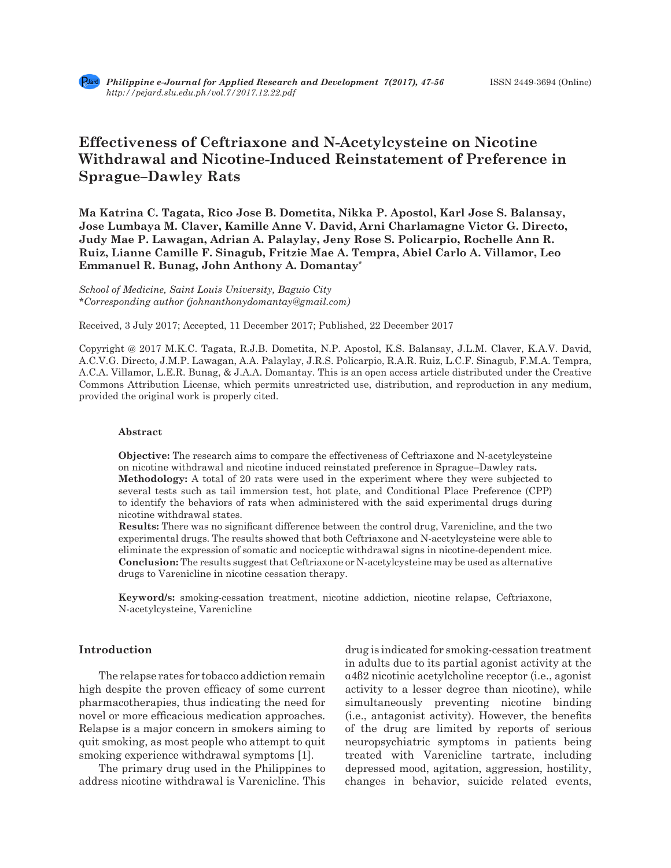# **Effectiveness of Ceftriaxone and N-Acetylcysteine on Nicotine Withdrawal and Nicotine-Induced Reinstatement of Preference in Sprague–Dawley Rats**

**Ma Katrina C. Tagata, Rico Jose B. Dometita, Nikka P. Apostol, Karl Jose S. Balansay, Jose Lumbaya M. Claver, Kamille Anne V. David, Arni Charlamagne Victor G. Directo, Judy Mae P. Lawagan, Adrian A. Palaylay, Jeny Rose S. Policarpio, Rochelle Ann R. Ruiz, Lianne Camille F. Sinagub, Fritzie Mae A. Tempra, Abiel Carlo A. Villamor, Leo Emmanuel R. Bunag, John Anthony A. Domantay\***

*School of Medicine, Saint Louis University, Baguio City \*Corresponding author (johnanthonydomantay@gmail.com)*

Received, 3 July 2017; Accepted, 11 December 2017; Published, 22 December 2017

Copyright @ 2017 M.K.C. Tagata, R.J.B. Dometita, N.P. Apostol, K.S. Balansay, J.L.M. Claver, K.A.V. David, A.C.V.G. Directo, J.M.P. Lawagan, A.A. Palaylay, J.R.S. Policarpio, R.A.R. Ruiz, L.C.F. Sinagub, F.M.A. Tempra, A.C.A. Villamor, L.E.R. Bunag, & J.A.A. Domantay. This is an open access article distributed under the Creative Commons Attribution License, which permits unrestricted use, distribution, and reproduction in any medium, provided the original work is properly cited.

#### **Abstract**

**Objective:** The research aims to compare the effectiveness of Ceftriaxone and N-acetylcysteine on nicotine withdrawal and nicotine induced reinstated preference in Sprague–Dawley rats**. Methodology:** A total of 20 rats were used in the experiment where they were subjected to several tests such as tail immersion test, hot plate, and Conditional Place Preference (CPP) to identify the behaviors of rats when administered with the said experimental drugs during nicotine withdrawal states.

**Results:** There was no significant difference between the control drug, Varenicline, and the two experimental drugs. The results showed that both Ceftriaxone and N-acetylcysteine were able to eliminate the expression of somatic and nociceptic withdrawal signs in nicotine-dependent mice. **Conclusion:** The results suggest that Ceftriaxone or N-acetylcysteine may be used as alternative drugs to Varenicline in nicotine cessation therapy.

**Keyword/s:** smoking-cessation treatment, nicotine addiction, nicotine relapse, Ceftriaxone, N-acetylcysteine, Varenicline

## **Introduction**

The relapse rates for tobacco addiction remain high despite the proven efficacy of some current pharmacotherapies, thus indicating the need for novel or more efficacious medication approaches. Relapse is a major concern in smokers aiming to quit smoking, as most people who attempt to quit smoking experience withdrawal symptoms [1].

The primary drug used in the Philippines to address nicotine withdrawal is Varenicline. This drug is indicated for smoking-cessation treatment in adults due to its partial agonist activity at the α4β2 nicotinic acetylcholine receptor (i.e., agonist activity to a lesser degree than nicotine), while simultaneously preventing nicotine binding (i.e., antagonist activity). However, the benefits of the drug are limited by reports of serious neuropsychiatric symptoms in patients being treated with Varenicline tartrate, including depressed mood, agitation, aggression, hostility, changes in behavior, suicide related events,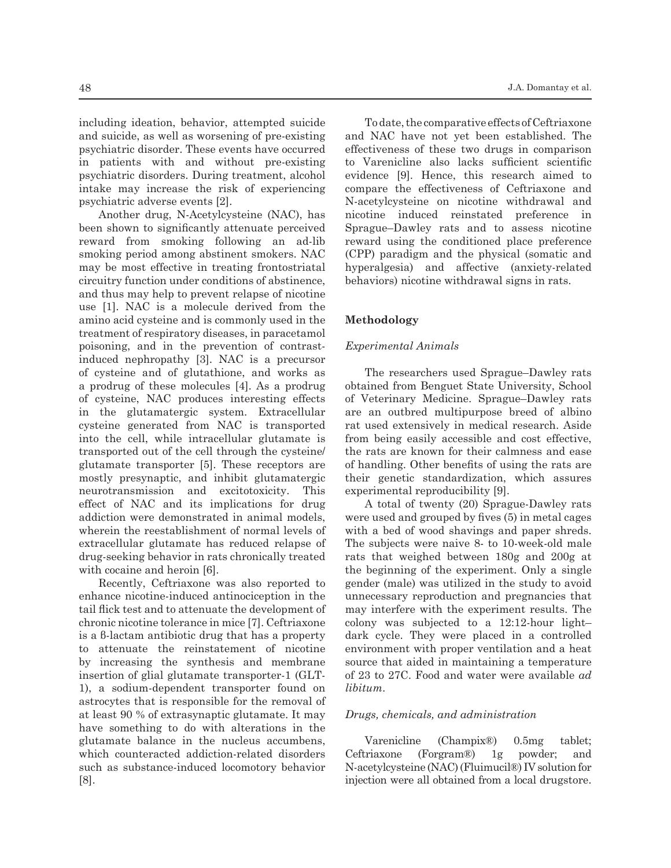including ideation, behavior, attempted suicide and suicide, as well as worsening of pre-existing psychiatric disorder. These events have occurred in patients with and without pre-existing psychiatric disorders. During treatment, alcohol intake may increase the risk of experiencing psychiatric adverse events [2].

Another drug, N-Acetylcysteine (NAC), has been shown to significantly attenuate perceived reward from smoking following an ad-lib smoking period among abstinent smokers. NAC may be most effective in treating frontostriatal circuitry function under conditions of abstinence, and thus may help to prevent relapse of nicotine use [1]. NAC is a molecule derived from the amino acid cysteine and is commonly used in the treatment of respiratory diseases, in paracetamol poisoning, and in the prevention of contrastinduced nephropathy [3]. NAC is a precursor of cysteine and of glutathione, and works as a prodrug of these molecules [4]. As a prodrug of cysteine, NAC produces interesting effects in the glutamatergic system. Extracellular cysteine generated from NAC is transported into the cell, while intracellular glutamate is transported out of the cell through the cysteine/ glutamate transporter [5]. These receptors are mostly presynaptic, and inhibit glutamatergic neurotransmission and excitotoxicity. This effect of NAC and its implications for drug addiction were demonstrated in animal models, wherein the reestablishment of normal levels of extracellular glutamate has reduced relapse of drug-seeking behavior in rats chronically treated with cocaine and heroin [6].

Recently, Ceftriaxone was also reported to enhance nicotine-induced antinociception in the tail flick test and to attenuate the development of chronic nicotine tolerance in mice [7]. Ceftriaxone is a β-lactam antibiotic drug that has a property to attenuate the reinstatement of nicotine by increasing the synthesis and membrane insertion of glial glutamate transporter-1 (GLT-1), a sodium-dependent transporter found on astrocytes that is responsible for the removal of at least 90 % of extrasynaptic glutamate. It may have something to do with alterations in the glutamate balance in the nucleus accumbens, which counteracted addiction-related disorders such as substance-induced locomotory behavior [8].

To date, the comparative effects of Ceftriaxone and NAC have not yet been established. The effectiveness of these two drugs in comparison to Varenicline also lacks sufficient scientific evidence [9]. Hence, this research aimed to compare the effectiveness of Ceftriaxone and N-acetylcysteine on nicotine withdrawal and nicotine induced reinstated preference in Sprague–Dawley rats and to assess nicotine reward using the conditioned place preference (CPP) paradigm and the physical (somatic and hyperalgesia) and affective (anxiety-related behaviors) nicotine withdrawal signs in rats.

## **Methodology**

#### *Experimental Animals*

The researchers used Sprague–Dawley rats obtained from Benguet State University, School of Veterinary Medicine. Sprague–Dawley rats are an outbred multipurpose breed of albino rat used extensively in medical research. Aside from being easily accessible and cost effective, the rats are known for their calmness and ease of handling. Other benefits of using the rats are their genetic standardization, which assures experimental reproducibility [9].

A total of twenty (20) Sprague-Dawley rats were used and grouped by fives (5) in metal cages with a bed of wood shavings and paper shreds. The subjects were naive 8- to 10-week-old male rats that weighed between 180g and 200g at the beginning of the experiment. Only a single gender (male) was utilized in the study to avoid unnecessary reproduction and pregnancies that may interfere with the experiment results. The colony was subjected to a  $12:12$ -hour lightdark cycle. They were placed in a controlled environment with proper ventilation and a heat source that aided in maintaining a temperature of 23 to 27C. Food and water were available *ad libitum*.

#### *Drugs, chemicals, and administration*

Varenicline (Champix®) 0.5mg tablet; Ceftriaxone (Forgram®) 1g powder; and N-acetylcysteine (NAC) (Fluimucil®) IV solution for injection were all obtained from a local drugstore.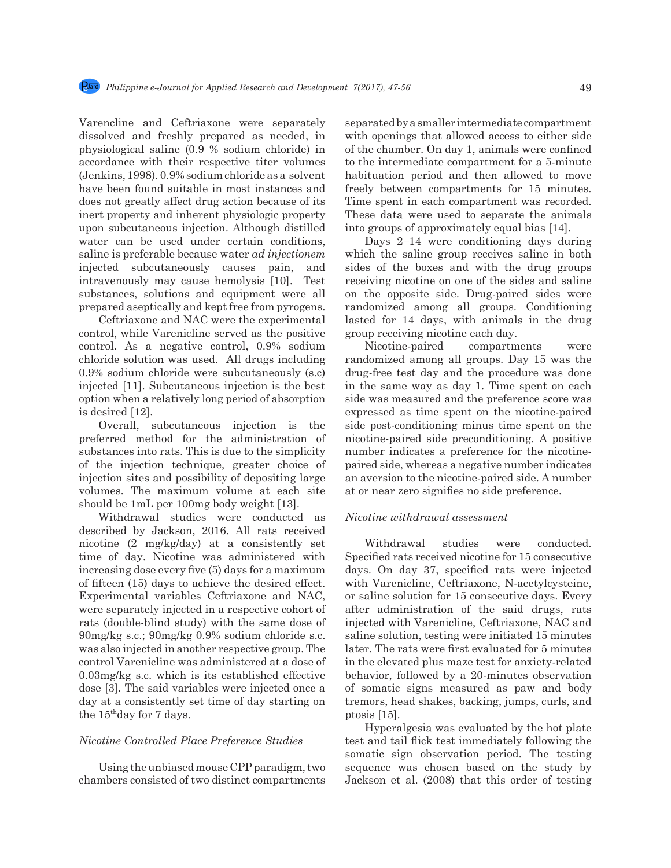Varencline and Ceftriaxone were separately dissolved and freshly prepared as needed, in physiological saline (0.9 % sodium chloride) in accordance with their respective titer volumes (Jenkins, 1998). 0.9% sodium chloride as a solvent have been found suitable in most instances and does not greatly affect drug action because of its inert property and inherent physiologic property upon subcutaneous injection. Although distilled water can be used under certain conditions, saline is preferable because water *ad injectionem*  injected subcutaneously causes pain, and intravenously may cause hemolysis [10]. Test substances, solutions and equipment were all prepared aseptically and kept free from pyrogens.

Ceftriaxone and NAC were the experimental control, while Varenicline served as the positive control. As a negative control, 0.9% sodium chloride solution was used. All drugs including 0.9% sodium chloride were subcutaneously (s.c) injected [11]. Subcutaneous injection is the best option when a relatively long period of absorption is desired [12].

Overall, subcutaneous injection is the preferred method for the administration of substances into rats. This is due to the simplicity of the injection technique, greater choice of injection sites and possibility of depositing large volumes. The maximum volume at each site should be 1mL per 100mg body weight [13].

Withdrawal studies were conducted as described by Jackson, 2016. All rats received nicotine (2 mg/kg/day) at a consistently set time of day. Nicotine was administered with increasing dose every five (5) days for a maximum of fifteen (15) days to achieve the desired effect. Experimental variables Ceftriaxone and NAC, were separately injected in a respective cohort of rats (double-blind study) with the same dose of 90mg/kg s.c.; 90mg/kg 0.9% sodium chloride s.c. was also injected in another respective group. The control Varenicline was administered at a dose of 0.03mg/kg s.c. which is its established effective dose [3]. The said variables were injected once a day at a consistently set time of day starting on the 15thday for 7 days.

## *Nicotine Controlled Place Preference Studies*

Using the unbiased mouse CPP paradigm, two chambers consisted of two distinct compartments separated by a smaller intermediate compartment with openings that allowed access to either side of the chamber. On day 1, animals were confined to the intermediate compartment for a 5-minute habituation period and then allowed to move freely between compartments for 15 minutes. Time spent in each compartment was recorded. These data were used to separate the animals into groups of approximately equal bias [14].

Days 2–14 were conditioning days during which the saline group receives saline in both sides of the boxes and with the drug groups receiving nicotine on one of the sides and saline on the opposite side. Drug-paired sides were randomized among all groups. Conditioning lasted for 14 days, with animals in the drug group receiving nicotine each day.

Nicotine-paired compartments were randomized among all groups. Day 15 was the drug-free test day and the procedure was done in the same way as day 1. Time spent on each side was measured and the preference score was expressed as time spent on the nicotine-paired side post-conditioning minus time spent on the nicotine-paired side preconditioning. A positive number indicates a preference for the nicotinepaired side, whereas a negative number indicates an aversion to the nicotine-paired side. A number at or near zero signifies no side preference.

#### *Nicotine withdrawal assessment*

Withdrawal studies were conducted. Specified rats received nicotine for 15 consecutive days. On day 37, specified rats were injected with Varenicline, Ceftriaxone, N-acetylcysteine, or saline solution for 15 consecutive days. Every after administration of the said drugs, rats injected with Varenicline, Ceftriaxone, NAC and saline solution, testing were initiated 15 minutes later. The rats were first evaluated for 5 minutes in the elevated plus maze test for anxiety-related behavior, followed by a 20-minutes observation of somatic signs measured as paw and body tremors, head shakes, backing, jumps, curls, and ptosis [15].

Hyperalgesia was evaluated by the hot plate test and tail flick test immediately following the somatic sign observation period. The testing sequence was chosen based on the study by Jackson et al. (2008) that this order of testing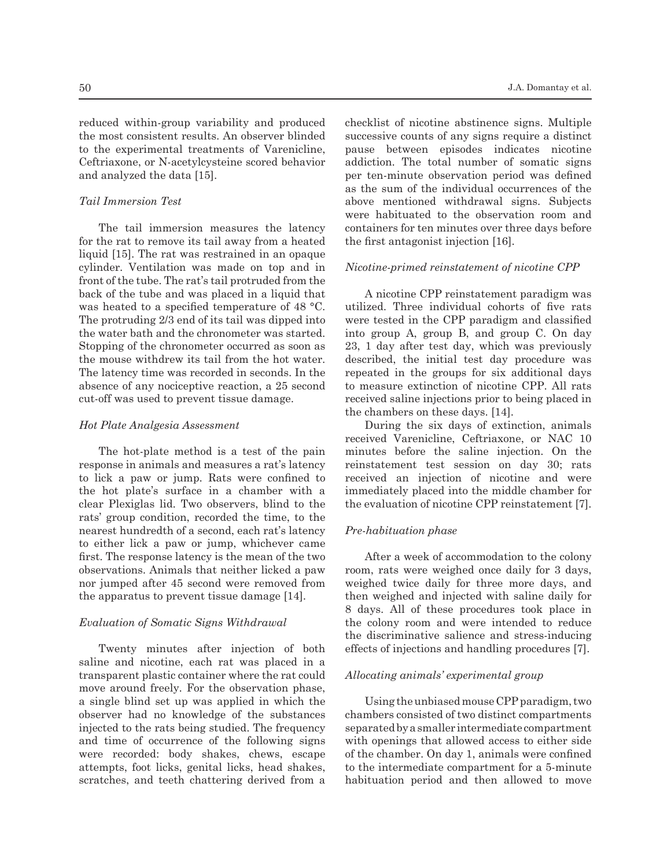reduced within-group variability and produced the most consistent results. An observer blinded to the experimental treatments of Varenicline, Ceftriaxone, or N-acetylcysteine scored behavior and analyzed the data [15].

## *Tail Immersion Test*

The tail immersion measures the latency for the rat to remove its tail away from a heated liquid [15]. The rat was restrained in an opaque cylinder. Ventilation was made on top and in front of the tube. The rat's tail protruded from the back of the tube and was placed in a liquid that was heated to a specified temperature of 48 °C. The protruding 2/3 end of its tail was dipped into the water bath and the chronometer was started. Stopping of the chronometer occurred as soon as the mouse withdrew its tail from the hot water. The latency time was recorded in seconds. In the absence of any nociceptive reaction, a 25 second cut-off was used to prevent tissue damage.

#### *Hot Plate Analgesia Assessment*

The hot-plate method is a test of the pain response in animals and measures a rat's latency to lick a paw or jump. Rats were confined to the hot plate's surface in a chamber with a clear Plexiglas lid. Two observers, blind to the rats' group condition, recorded the time, to the nearest hundredth of a second, each rat's latency to either lick a paw or jump, whichever came first. The response latency is the mean of the two observations. Animals that neither licked a paw nor jumped after 45 second were removed from the apparatus to prevent tissue damage [14].

#### *Evaluation of Somatic Signs Withdrawal*

Twenty minutes after injection of both saline and nicotine, each rat was placed in a transparent plastic container where the rat could move around freely. For the observation phase, a single blind set up was applied in which the observer had no knowledge of the substances injected to the rats being studied. The frequency and time of occurrence of the following signs were recorded: body shakes, chews, escape attempts, foot licks, genital licks, head shakes, scratches, and teeth chattering derived from a checklist of nicotine abstinence signs. Multiple successive counts of any signs require a distinct pause between episodes indicates nicotine addiction. The total number of somatic signs per ten-minute observation period was defined as the sum of the individual occurrences of the above mentioned withdrawal signs. Subjects were habituated to the observation room and containers for ten minutes over three days before the first antagonist injection [16].

#### *Nicotine-primed reinstatement of nicotine CPP*

A nicotine CPP reinstatement paradigm was utilized. Three individual cohorts of five rats were tested in the CPP paradigm and classified into group A, group B, and group C. On day 23, 1 day after test day, which was previously described, the initial test day procedure was repeated in the groups for six additional days to measure extinction of nicotine CPP. All rats received saline injections prior to being placed in the chambers on these days. [14].

During the six days of extinction, animals received Varenicline, Ceftriaxone, or NAC 10 minutes before the saline injection. On the reinstatement test session on day 30; rats received an injection of nicotine and were immediately placed into the middle chamber for the evaluation of nicotine CPP reinstatement [7].

## *Pre-habituation phase*

After a week of accommodation to the colony room, rats were weighed once daily for 3 days, weighed twice daily for three more days, and then weighed and injected with saline daily for 8 days. All of these procedures took place in the colony room and were intended to reduce the discriminative salience and stress-inducing effects of injections and handling procedures [7].

## *Allocating animals' experimental group*

Using the unbiased mouse CPP paradigm, two chambers consisted of two distinct compartments separated by a smaller intermediate compartment with openings that allowed access to either side of the chamber. On day 1, animals were confined to the intermediate compartment for a 5-minute habituation period and then allowed to move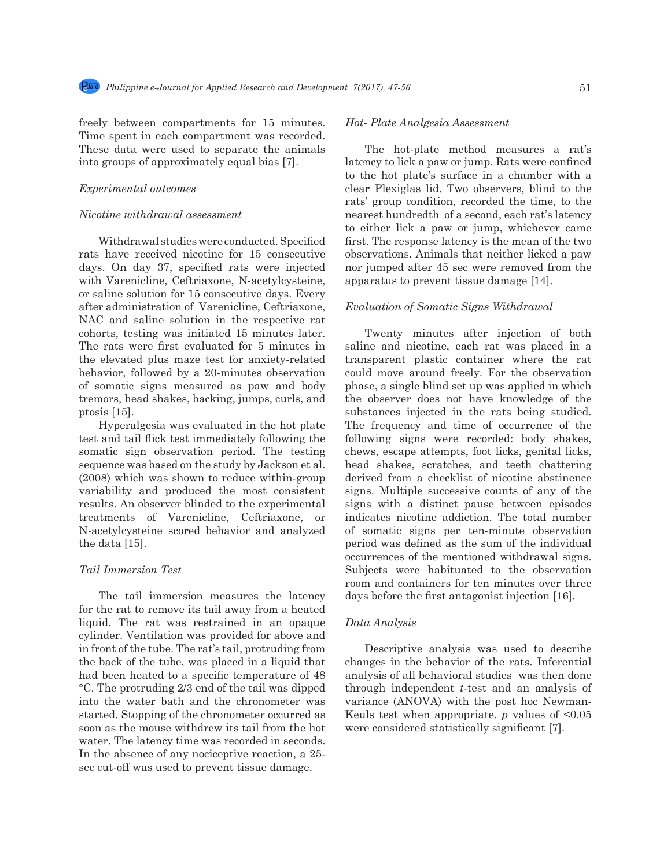freely between compartments for 15 minutes. Time spent in each compartment was recorded. These data were used to separate the animals into groups of approximately equal bias [7].

### *Experimental outcomes*

### *Nicotine withdrawal assessment*

Withdrawal studies were conducted. Specified rats have received nicotine for 15 consecutive days. On day 37, specified rats were injected with Varenicline, Ceftriaxone, N-acetylcysteine, or saline solution for 15 consecutive days. Every after administration of Varenicline, Ceftriaxone, NAC and saline solution in the respective rat cohorts, testing was initiated 15 minutes later. The rats were first evaluated for 5 minutes in the elevated plus maze test for anxiety-related behavior, followed by a 20-minutes observation of somatic signs measured as paw and body tremors, head shakes, backing, jumps, curls, and ptosis [15].

Hyperalgesia was evaluated in the hot plate test and tail flick test immediately following the somatic sign observation period. The testing sequence was based on the study by Jackson et al. (2008) which was shown to reduce within-group variability and produced the most consistent results. An observer blinded to the experimental treatments of Varenicline, Ceftriaxone, or N-acetylcysteine scored behavior and analyzed the data [15].

#### *Tail Immersion Test*

The tail immersion measures the latency for the rat to remove its tail away from a heated liquid. The rat was restrained in an opaque cylinder. Ventilation was provided for above and in front of the tube. The rat's tail, protruding from the back of the tube, was placed in a liquid that had been heated to a specific temperature of 48 °C. The protruding 2/3 end of the tail was dipped into the water bath and the chronometer was started. Stopping of the chronometer occurred as soon as the mouse withdrew its tail from the hot water. The latency time was recorded in seconds. In the absence of any nociceptive reaction, a 25 sec cut-off was used to prevent tissue damage.

## *Hot- Plate Analgesia Assessment*

The hot-plate method measures a rat's latency to lick a paw or jump. Rats were confined to the hot plate's surface in a chamber with a clear Plexiglas lid. Two observers, blind to the rats' group condition, recorded the time, to the nearest hundredth of a second, each rat's latency to either lick a paw or jump, whichever came first. The response latency is the mean of the two observations. Animals that neither licked a paw nor jumped after 45 sec were removed from the apparatus to prevent tissue damage [14].

## *Evaluation of Somatic Signs Withdrawal*

Twenty minutes after injection of both saline and nicotine, each rat was placed in a transparent plastic container where the rat could move around freely. For the observation phase, a single blind set up was applied in which the observer does not have knowledge of the substances injected in the rats being studied. The frequency and time of occurrence of the following signs were recorded: body shakes, chews, escape attempts, foot licks, genital licks, head shakes, scratches, and teeth chattering derived from a checklist of nicotine abstinence signs. Multiple successive counts of any of the signs with a distinct pause between episodes indicates nicotine addiction. The total number of somatic signs per ten-minute observation period was defined as the sum of the individual occurrences of the mentioned withdrawal signs. Subjects were habituated to the observation room and containers for ten minutes over three days before the first antagonist injection [16].

#### *Data Analysis*

Descriptive analysis was used to describe changes in the behavior of the rats. Inferential analysis of all behavioral studies was then done through independent *t*-test and an analysis of variance (ANOVA) with the post hoc Newman-Keuls test when appropriate. *p* values of <0.05 were considered statistically significant [7].

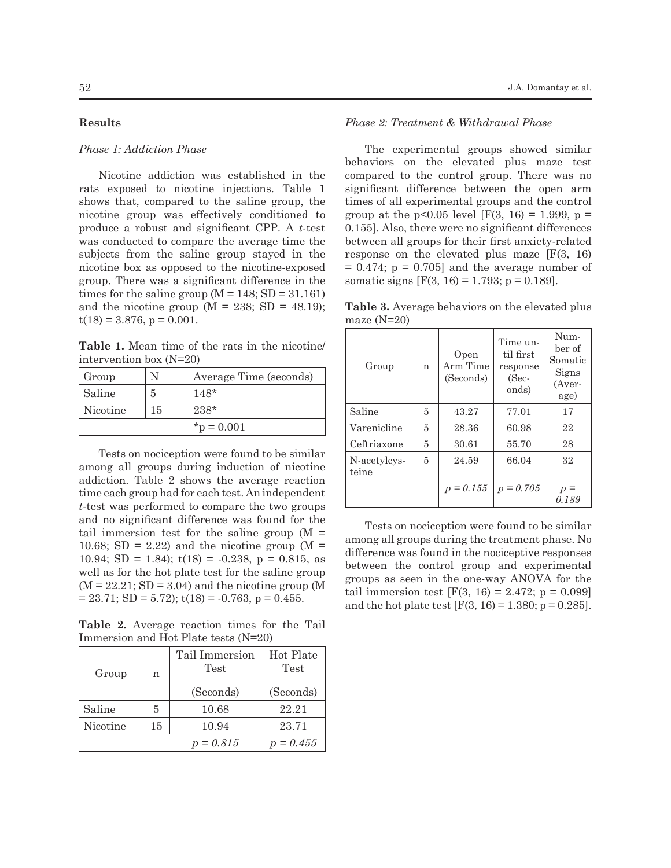## **Results**

## *Phase 1: Addiction Phase*

Nicotine addiction was established in the rats exposed to nicotine injections. Table 1 shows that, compared to the saline group, the nicotine group was effectively conditioned to produce a robust and significant CPP. A *t*-test was conducted to compare the average time the subjects from the saline group stayed in the nicotine box as opposed to the nicotine-exposed group. There was a significant difference in the times for the saline group  $(M = 148; SD = 31.161)$ and the nicotine group ( $M = 238$ ; SD = 48.19);  $t(18) = 3.876$ ,  $p = 0.001$ .

**Table 1.** Mean time of the rats in the nicotine/ intervention box (N=20)

| Group         |    | Average Time (seconds) |
|---------------|----|------------------------|
| Saline        | 5  | $148*$                 |
| Nicotine      | 15 | $238*$                 |
| $*_p = 0.001$ |    |                        |

Tests on nociception were found to be similar among all groups during induction of nicotine addiction. Table 2 shows the average reaction time each group had for each test. An independent *t*-test was performed to compare the two groups and no significant difference was found for the tail immersion test for the saline group  $(M =$ 10.68; SD = 2.22) and the nicotine group ( $M =$ 10.94; SD = 1.84);  $t(18) = -0.238$ ,  $p = 0.815$ , as well as for the hot plate test for the saline group  $(M = 22.21; SD = 3.04)$  and the nicotine group  $(M$  $= 23.71$ ; SD  $= 5.72$ ); t(18)  $= -0.763$ , p  $= 0.455$ .

**Table 2.** Average reaction times for the Tail Immersion and Hot Plate tests (N=20)

| Group    | n  | Tail Immersion<br>Test | Hot Plate<br>Test |
|----------|----|------------------------|-------------------|
|          |    | (Seconds)              | (Seconds)         |
| Saline   | 5  | 10.68                  | 22.21             |
| Nicotine | 15 | 10.94                  | 23.71             |
|          |    | $p = 0.815$            | $p = 0.455$       |

### *Phase 2: Treatment & Withdrawal Phase*

The experimental groups showed similar behaviors on the elevated plus maze test compared to the control group. There was no significant difference between the open arm times of all experimental groups and the control group at the  $p<0.05$  level [F(3, 16) = 1.999,  $p =$ 0.155]. Also, there were no significant differences between all groups for their first anxiety-related response on the elevated plus maze [F(3, 16)  $= 0.474$ ;  $p = 0.705$ ] and the average number of somatic signs  $[F(3, 16) = 1.793; p = 0.189]$ .

**Table 3.** Average behaviors on the elevated plus maze (N=20)

| Group                 | n | Open<br>Arm Time<br>(Seconds) | Time un-<br>til first<br>response<br>(Sec-<br>onds) | Num-<br>ber of<br>Somatic<br>Signs<br>(Aver-<br>age) |
|-----------------------|---|-------------------------------|-----------------------------------------------------|------------------------------------------------------|
| Saline                | 5 | 43.27                         | 77.01                                               | 17                                                   |
| Varenicline           | 5 | 28.36                         | 60.98                                               | 22                                                   |
| Ceftriaxone           | 5 | 30.61                         | 55.70                                               | 28                                                   |
| N-acetylcys-<br>teine | 5 | 24.59                         | 66.04                                               | 32                                                   |
|                       |   | $p = 0.155$                   | $p = 0.705$                                         | 0.189                                                |

Tests on nociception were found to be similar among all groups during the treatment phase. No difference was found in the nociceptive responses between the control group and experimental groups as seen in the one-way ANOVA for the tail immersion test  $[F(3, 16) = 2.472; p = 0.099]$ and the hot plate test  $[F(3, 16) = 1.380; p = 0.285]$ .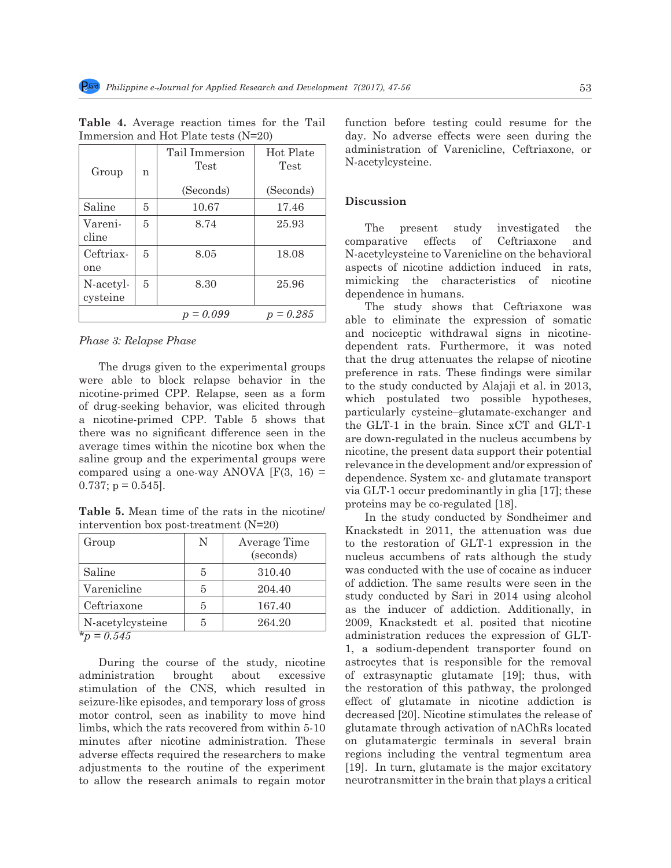| Group                 | n | Tail Immersion<br>Test        | Hot Plate<br>Test |
|-----------------------|---|-------------------------------|-------------------|
|                       |   | (Seconds)                     | (Seconds)         |
| Saline                | 5 | 10.67                         | 17.46             |
| Vareni-<br>cline      | 5 | 8.74                          | 25.93             |
| Ceftriax-<br>one      | 5 | 8.05                          | 18.08             |
| N-acetyl-<br>cysteine | 5 | 8.30                          | 25.96             |
|                       |   | $= 0.099$<br>$\boldsymbol{D}$ | 0.285             |

**Table 4.** Average reaction times for the Tail Immersion and Hot Plate tests (N=20)

*Phase 3: Relapse Phase*

The drugs given to the experimental groups were able to block relapse behavior in the nicotine-primed CPP. Relapse, seen as a form of drug-seeking behavior, was elicited through a nicotine-primed CPP. Table 5 shows that there was no significant difference seen in the average times within the nicotine box when the saline group and the experimental groups were compared using a one-way ANOVA  $[F(3, 16) =$  $0.737$ ; p =  $0.545$ ].

**Table 5.** Mean time of the rats in the nicotine/ intervention box post-treatment (N=20)

| Group            | N | Average Time<br>(seconds) |
|------------------|---|---------------------------|
| Saline           | 5 | 310.40                    |
| Varenicline      | 5 | 204.40                    |
| Ceftriaxone      | 5 | 167.40                    |
| N-acetylcysteine | 5 | 264.20                    |
| $= 0.545$        |   |                           |

During the course of the study, nicotine administration brought about excessive stimulation of the CNS, which resulted in seizure-like episodes, and temporary loss of gross motor control, seen as inability to move hind limbs, which the rats recovered from within 5-10 minutes after nicotine administration. These adverse effects required the researchers to make adjustments to the routine of the experiment to allow the research animals to regain motor function before testing could resume for the day. No adverse effects were seen during the administration of Varenicline, Ceftriaxone, or N-acetylcysteine.

#### **Discussion**

The present study investigated the comparative effects of Ceftriaxone and N-acetylcysteine to Varenicline on the behavioral aspects of nicotine addiction induced in rats, mimicking the characteristics of nicotine dependence in humans.

The study shows that Ceftriaxone was able to eliminate the expression of somatic and nociceptic withdrawal signs in nicotinedependent rats. Furthermore, it was noted that the drug attenuates the relapse of nicotine preference in rats. These findings were similar to the study conducted by Alajaji et al. in 2013, which postulated two possible hypotheses, particularly cysteine–glutamate-exchanger and the GLT-1 in the brain. Since xCT and GLT-1 are down-regulated in the nucleus accumbens by nicotine, the present data support their potential relevance in the development and/or expression of dependence. System xc- and glutamate transport via GLT-1 occur predominantly in glia [17]; these proteins may be co-regulated [18].

In the study conducted by Sondheimer and Knackstedt in 2011, the attenuation was due to the restoration of GLT-1 expression in the nucleus accumbens of rats although the study was conducted with the use of cocaine as inducer of addiction. The same results were seen in the study conducted by Sari in 2014 using alcohol as the inducer of addiction. Additionally, in 2009, Knackstedt et al. posited that nicotine administration reduces the expression of GLT-1, a sodium-dependent transporter found on astrocytes that is responsible for the removal of extrasynaptic glutamate [19]; thus, with the restoration of this pathway, the prolonged effect of glutamate in nicotine addiction is decreased [20]. Nicotine stimulates the release of glutamate through activation of nAChRs located on glutamatergic terminals in several brain regions including the ventral tegmentum area [19]. In turn, glutamate is the major excitatory neurotransmitter in the brain that plays a critical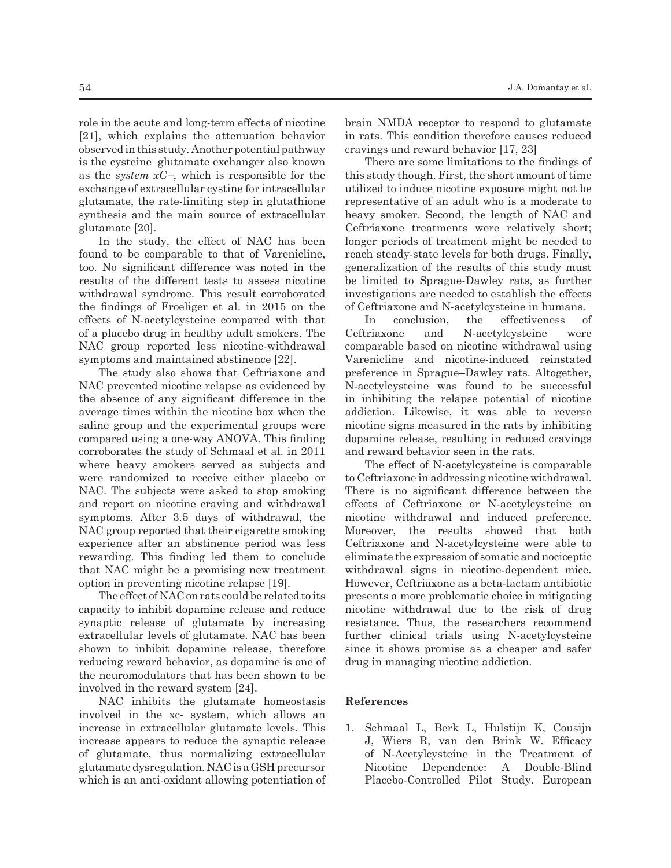role in the acute and long-term effects of nicotine [21], which explains the attenuation behavior observed in this study. Another potential pathway is the cysteine–glutamate exchanger also known as the *system xC−*, which is responsible for the exchange of extracellular cystine for intracellular glutamate, the rate-limiting step in glutathione synthesis and the main source of extracellular glutamate [20].

In the study, the effect of NAC has been found to be comparable to that of Varenicline, too. No significant difference was noted in the results of the different tests to assess nicotine withdrawal syndrome. This result corroborated the findings of Froeliger et al. in 2015 on the effects of N-acetylcysteine compared with that of a placebo drug in healthy adult smokers. The NAC group reported less nicotine-withdrawal symptoms and maintained abstinence [22].

The study also shows that Ceftriaxone and NAC prevented nicotine relapse as evidenced by the absence of any significant difference in the average times within the nicotine box when the saline group and the experimental groups were compared using a one-way ANOVA. This finding corroborates the study of Schmaal et al. in 2011 where heavy smokers served as subjects and were randomized to receive either placebo or NAC. The subjects were asked to stop smoking and report on nicotine craving and withdrawal symptoms. After 3.5 days of withdrawal, the NAC group reported that their cigarette smoking experience after an abstinence period was less rewarding. This finding led them to conclude that NAC might be a promising new treatment option in preventing nicotine relapse [19].

The effect of NAC on rats could be related to its capacity to inhibit dopamine release and reduce synaptic release of glutamate by increasing extracellular levels of glutamate. NAC has been shown to inhibit dopamine release, therefore reducing reward behavior, as dopamine is one of the neuromodulators that has been shown to be involved in the reward system [24].

NAC inhibits the glutamate homeostasis involved in the xc- system, which allows an increase in extracellular glutamate levels. This increase appears to reduce the synaptic release of glutamate, thus normalizing extracellular glutamate dysregulation. NAC is a GSH precursor which is an anti-oxidant allowing potentiation of brain NMDA receptor to respond to glutamate in rats. This condition therefore causes reduced cravings and reward behavior [17, 23]

There are some limitations to the findings of this study though. First, the short amount of time utilized to induce nicotine exposure might not be representative of an adult who is a moderate to heavy smoker. Second, the length of NAC and Ceftriaxone treatments were relatively short; longer periods of treatment might be needed to reach steady-state levels for both drugs. Finally, generalization of the results of this study must be limited to Sprague-Dawley rats, as further investigations are needed to establish the effects of Ceftriaxone and N-acetylcysteine in humans.

In conclusion, the effectiveness of Ceftriaxone and N-acetylcysteine were comparable based on nicotine withdrawal using Varenicline and nicotine-induced reinstated preference in Sprague–Dawley rats. Altogether, N-acetylcysteine was found to be successful in inhibiting the relapse potential of nicotine addiction. Likewise, it was able to reverse nicotine signs measured in the rats by inhibiting dopamine release, resulting in reduced cravings and reward behavior seen in the rats.

The effect of N-acetylcysteine is comparable to Ceftriaxone in addressing nicotine withdrawal. There is no significant difference between the effects of Ceftriaxone or N-acetylcysteine on nicotine withdrawal and induced preference. Moreover, the results showed that both Ceftriaxone and N-acetylcysteine were able to eliminate the expression of somatic and nociceptic withdrawal signs in nicotine-dependent mice. However, Ceftriaxone as a beta-lactam antibiotic presents a more problematic choice in mitigating nicotine withdrawal due to the risk of drug resistance. Thus, the researchers recommend further clinical trials using N-acetylcysteine since it shows promise as a cheaper and safer drug in managing nicotine addiction.

#### **References**

1. Schmaal L, Berk L, Hulstijn K, Cousijn J, Wiers R, van den Brink W. Efficacy of N-Acetylcysteine in the Treatment of Nicotine Dependence: A Double-Blind Placebo-Controlled Pilot Study. European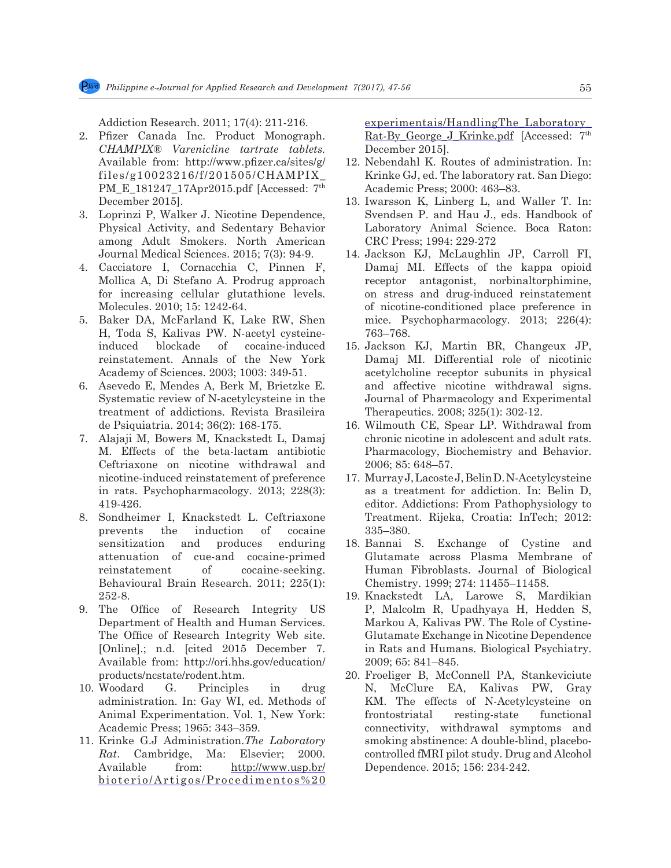Addiction Research. 2011; 17(4): 211-216.

- 2. Pfizer Canada Inc. Product Monograph. *CHAMPIX® Varenicline tartrate tablets.*  Available from: http://www.pfizer.ca/sites/g/ files/g10023216/f/201505/CHAMPIX\_ PM\_E\_181247\_17Apr2015.pdf [Accessed: 7<sup>th</sup> December 2015].
- 3. Loprinzi P, Walker J. Nicotine Dependence, Physical Activity, and Sedentary Behavior among Adult Smokers. North American Journal Medical Sciences. 2015; 7(3): 94-9.
- 4. Cacciatore I, Cornacchia C, Pinnen F, Mollica A, Di Stefano A. Prodrug approach for increasing cellular glutathione levels. Molecules. 2010; 15: 1242-64.
- 5. Baker DA, McFarland K, Lake RW, Shen H, Toda S, Kalivas PW. N-acetyl cysteineinduced blockade of cocaine-induced reinstatement. Annals of the New York Academy of Sciences. 2003; 1003: 349-51.
- 6. Asevedo E, Mendes A, Berk M, Brietzke E. Systematic review of N-acetylcysteine in the treatment of addictions. Revista Brasileira de Psiquiatria. 2014; 36(2): 168-175.
- 7. Alajaji M, Bowers M, Knackstedt L, Damaj M. Effects of the beta-lactam antibiotic Ceftriaxone on nicotine withdrawal and nicotine-induced reinstatement of preference in rats. Psychopharmacology. 2013; 228(3): 419-426.
- 8. Sondheimer I, Knackstedt L. Ceftriaxone prevents the induction of cocaine sensitization and produces enduring attenuation of cue-and cocaine-primed reinstatement of cocaine-seeking. Behavioural Brain Research. 2011; 225(1): 252-8.
- 9. The Office of Research Integrity US Department of Health and Human Services. The Office of Research Integrity Web site. [Online].; n.d. [cited 2015 December 7. Available from: http://ori.hhs.gov/education/ products/ncstate/rodent.htm.
- 10. Woodard G. Principles in drug administration. In: Gay WI, ed. Methods of Animal Experimentation. Vol. 1, New York: Academic Press; 1965: 343–359.
- 11. Krinke G.J Administration.*The Laboratory Rat*. Cambridge, Ma: Elsevier; 2000. Available from: http://www.usp.br/ bioterio/Artigos/Procedimentos%20

experimentais/HandlingThe\_Laboratory\_ Rat-By George J Krinke.pdf [Accessed: 7<sup>th</sup> December 2015].

- 12. Nebendahl K. Routes of administration. In: Krinke GJ, ed. The laboratory rat. San Diego: Academic Press; 2000: 463–83.
- 13. Iwarsson K, Linberg L, and Waller T. In: Svendsen P. and Hau J., eds. Handbook of Laboratory Animal Science. Boca Raton: CRC Press; 1994: 229-272
- 14. Jackson KJ, McLaughlin JP, Carroll FI, Damaj MI. Effects of the kappa opioid receptor antagonist, norbinaltorphimine, on stress and drug-induced reinstatement of nicotine-conditioned place preference in mice. Psychopharmacology. 2013; 226(4): 763–768.
- 15. Jackson KJ, Martin BR, Changeux JP, Damaj MI. Differential role of nicotinic acetylcholine receptor subunits in physical and affective nicotine withdrawal signs. Journal of Pharmacology and Experimental Therapeutics. 2008; 325(1): 302-12.
- 16. Wilmouth CE, Spear LP. Withdrawal from chronic nicotine in adolescent and adult rats. Pharmacology, Biochemistry and Behavior. 2006; 85: 648–57.
- 17. Murray J, Lacoste J, Belin D. N-Acetylcysteine as a treatment for addiction. In: Belin D, editor. Addictions: From Pathophysiology to Treatment. Rijeka, Croatia: InTech; 2012: 335–380.
- 18. Bannai S. Exchange of Cystine and Glutamate across Plasma Membrane of Human Fibroblasts. Journal of Biological Chemistry. 1999; 274: 11455–11458.
- 19. Knackstedt LA, Larowe S, Mardikian P, Malcolm R, Upadhyaya H, Hedden S, Markou A, Kalivas PW. The Role of Cystine-Glutamate Exchange in Nicotine Dependence in Rats and Humans. Biological Psychiatry. 2009; 65: 841–845.
- 20. Froeliger B, McConnell PA, Stankeviciute N, McClure EA, Kalivas PW, Gray KM. The effects of N-Acetylcysteine on frontostriatal resting-state functional connectivity, withdrawal symptoms and smoking abstinence: A double-blind, placebocontrolled fMRI pilot study. Drug and Alcohol Dependence. 2015; 156: 234-242.